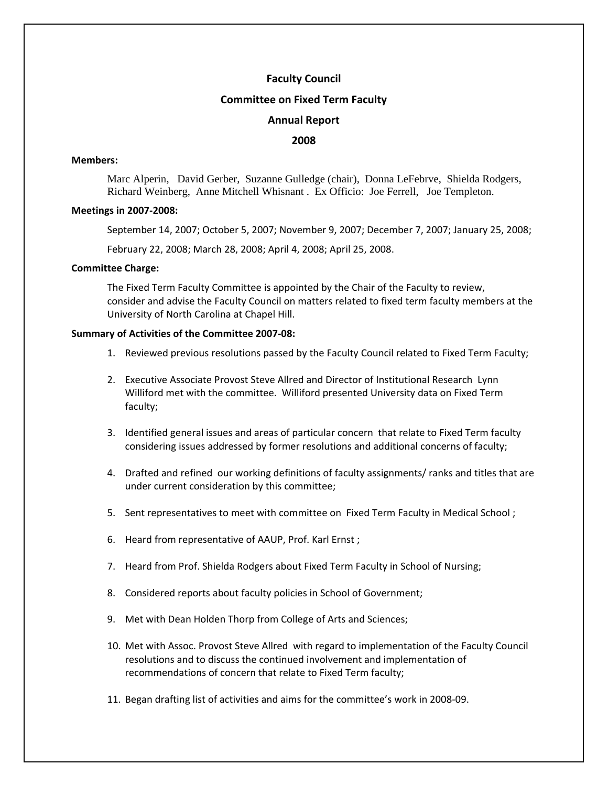# **Faculty Council**

## **Committee on Fixed Term Faculty**

## **Annual Report**

## **2008**

#### **Members:**

 Marc Alperin, David Gerber, Suzanne Gulledge (chair), Donna LeFebrve, Shielda Rodgers, Richard Weinberg, Anne Mitchell Whisnant . Ex Officio: Joe Ferrell, Joe Templeton.

#### **Meetings in 2007‐2008:**

September 14, 2007; October 5, 2007; November 9, 2007; December 7, 2007; January 25, 2008;

February 22, 2008; March 28, 2008; April 4, 2008; April 25, 2008.

## **Committee Charge:**

The Fixed Term Faculty Committee is appointed by the Chair of the Faculty to review, consider and advise the Faculty Council on matters related to fixed term faculty members at the University of North Carolina at Chapel Hill.

## **Summary of Activities of the Committee 2007‐08:**

- 1. Reviewed previous resolutions passed by the Faculty Council related to Fixed Term Faculty;
- 2. Executive Associate Provost Steve Allred and Director of Institutional Research Lynn Williford met with the committee. Williford presented University data on Fixed Term faculty;
- 3. Identified general issues and areas of particular concern that relate to Fixed Term faculty considering issues addressed by former resolutions and additional concerns of faculty;
- 4. Drafted and refined our working definitions of faculty assignments/ ranks and titles that are under current consideration by this committee;
- 5. Sent representatives to meet with committee on Fixed Term Faculty in Medical School ;
- 6. Heard from representative of AAUP, Prof. Karl Ernst ;
- 7. Heard from Prof. Shielda Rodgers about Fixed Term Faculty in School of Nursing;
- 8. Considered reports about faculty policies in School of Government;
- 9. Met with Dean Holden Thorp from College of Arts and Sciences;
- 10. Met with Assoc. Provost Steve Allred with regard to implementation of the Faculty Council resolutions and to discuss the continued involvement and implementation of recommendations of concern that relate to Fixed Term faculty;
- 11. Began drafting list of activities and aims for the committee's work in 2008‐09.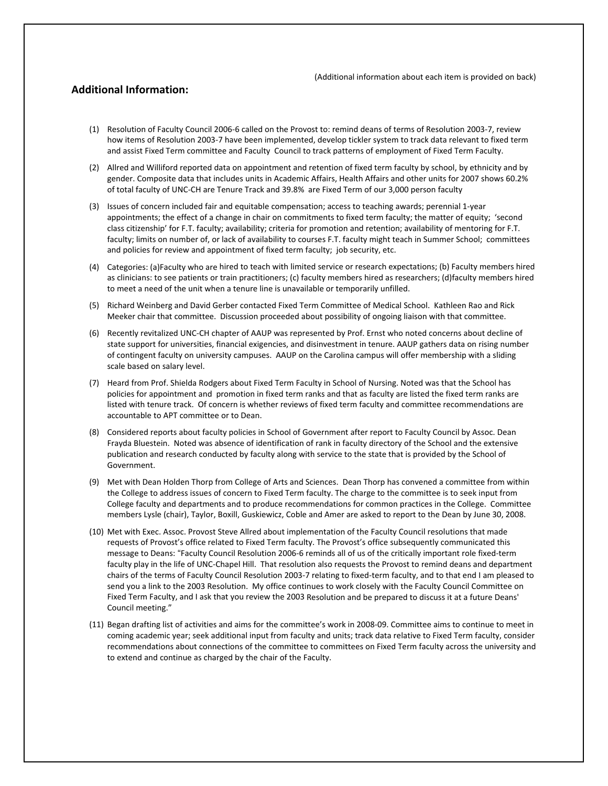## **Additional Information:**

- (1) Resolution of Faculty Council 2006‐6 called on the Provost to: remind deans of terms of Resolution 2003‐7, review how items of Resolution 2003-7 have been implemented, develop tickler system to track data relevant to fixed term and assist Fixed Term committee and Faculty Council to track patterns of employment of Fixed Term Faculty.
- (2) Allred and Williford reported data on appointment and retention of fixed term faculty by school, by ethnicity and by gender. Composite data that includes units in Academic Affairs, Health Affairs and other units for 2007 shows 60.2% of total faculty of UNC‐CH are Tenure Track and 39.8% are Fixed Term of our 3,000 person faculty
- (3) Issues of concern included fair and equitable compensation; access to teaching awards; perennial 1‐year appointments; the effect of a change in chair on commitments to fixed term faculty; the matter of equity; 'second class citizenship' for F.T. faculty; availability; criteria for promotion and retention; availability of mentoring for F.T. faculty; limits on number of, or lack of availability to courses F.T. faculty might teach in Summer School; committees and policies for review and appointment of fixed term faculty; job security, etc.
- (4) Categories: (a)Faculty who are hired to teach with limited service or research expectations; (b) Faculty members hired as clinicians: to see patients or train practitioners; (c) faculty members hired as researchers; (d)faculty members hired to meet a need of the unit when a tenure line is unavailable or temporarily unfilled.
- (5) Richard Weinberg and David Gerber contacted Fixed Term Committee of Medical School. Kathleen Rao and Rick Meeker chair that committee. Discussion proceeded about possibility of ongoing liaison with that committee.
- (6) Recently revitalized UNC‐CH chapter of AAUP was represented by Prof. Ernst who noted concerns about decline of state support for universities, financial exigencies, and disinvestment in tenure. AAUP gathers data on rising number of contingent faculty on university campuses. AAUP on the Carolina campus will offer membership with a sliding scale based on salary level.
- (7) Heard from Prof. Shielda Rodgers about Fixed Term Faculty in School of Nursing. Noted was that the School has policies for appointment and promotion in fixed term ranks and that as faculty are listed the fixed term ranks are listed with tenure track. Of concern is whether reviews of fixed term faculty and committee recommendations are accountable to APT committee or to Dean.
- (8) Considered reports about faculty policies in School of Government after report to Faculty Council by Assoc. Dean Frayda Bluestein. Noted was absence of identification of rank in faculty directory of the School and the extensive publication and research conducted by faculty along with service to the state that is provided by the School of Government.
- (9) Met with Dean Holden Thorp from College of Arts and Sciences. Dean Thorp has convened a committee from within the College to address issues of concern to Fixed Term faculty. The charge to the committee is to seek input from College faculty and departments and to produce recommendations for common practices in the College. Committee members Lysle (chair), Taylor, Boxill, Guskiewicz, Coble and Amer are asked to report to the Dean by June 30, 2008.
- (10) Met with Exec. Assoc. Provost Steve Allred about implementation of the Faculty Council resolutions that made requests of Provost's office related to Fixed Term faculty. The Provost's office subsequently communicated this message to Deans: "Faculty Council Resolution 2006‐6 reminds all of us of the critically important role fixed‐term faculty play in the life of UNC‐Chapel Hill. That resolution also requests the Provost to remind deans and department chairs of the terms of Faculty Council Resolution 2003‐7 relating to fixed‐term faculty, and to that end I am pleased to send you a link to the 2003 Resolution. My office continues to work closely with the Faculty Council Committee on Fixed Term Faculty, and I ask that you review the 2003 Resolution and be prepared to discuss it at a future Deans' Council meeting."
- (11) Began drafting list of activities and aims for the committee's work in 2008‐09. Committee aims to continue to meet in coming academic year; seek additional input from faculty and units; track data relative to Fixed Term faculty, consider recommendations about connections of the committee to committees on Fixed Term faculty across the university and to extend and continue as charged by the chair of the Faculty.